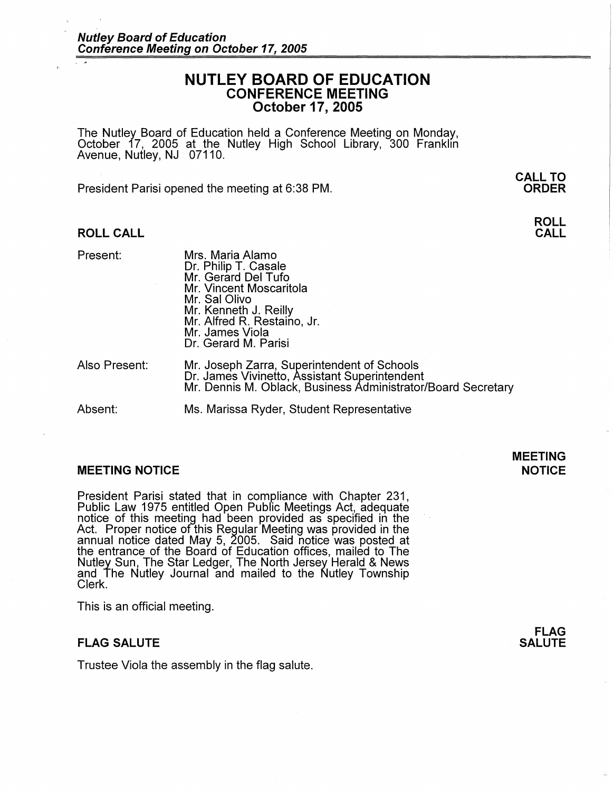# **NUTLEY BOARD OF EDUCATION CONFERENCE MEETING October 17, 2005**

The Nutley Board of Education held a Conference Meeting on Monday,<br>October 17, 2005 at\_the\_Nutley\_High\_School\_Library, 300 Franklin Avenue, Nutley, NJ 07110.

President Parisi opened the meeting at 6:38 PM.

## **ROLL CALL**

Present:

Mrs. Maria Alamo Dr. Philip T. Casale Mr. Gerard Del Tufo Mr. Vincent Moscaritola Mr. Sal Olivo Mr. Kenneth J. Reilly Mr. Alfred R. Restaino, Jr. Mr. James Viola Dr. Gerard M. Parisi

Also Present:

Mr. Joseph Zarra, Superintendent of Schools Dr. James Vivinetto, Assistant Superintendent Mr. Dennis M. Oblack, Business Administrator/Board Secretary

Absent: Ms. Marissa Ryder, Student Representative

#### **MEETING NOTICE**

President Parisi stated that in compliance with Chapter 231, Public Law 1975 entitled Open Public Meetings Act, adequate notice of this meeting had been provided as specified in the Act. Proper notice of this Regular Meeting was provided in the annual notice dated May 5, 2005. Said notice was posted at the entrance of the Board of Education offices, mailed to The Nutley Sun, The Star Ledger, The North Jersey Herald & News and The Nutley Journal and mailed to the Nutley Township<br>Clerk.

This is an official meeting.

#### **FLAG SALUTE**

Trustee Viola the assembly in the flag salute.

**FLAG SALUTE** 

**MEETING NOTICE** 

# **CALL TO ORDER**

## **ROLL CALL**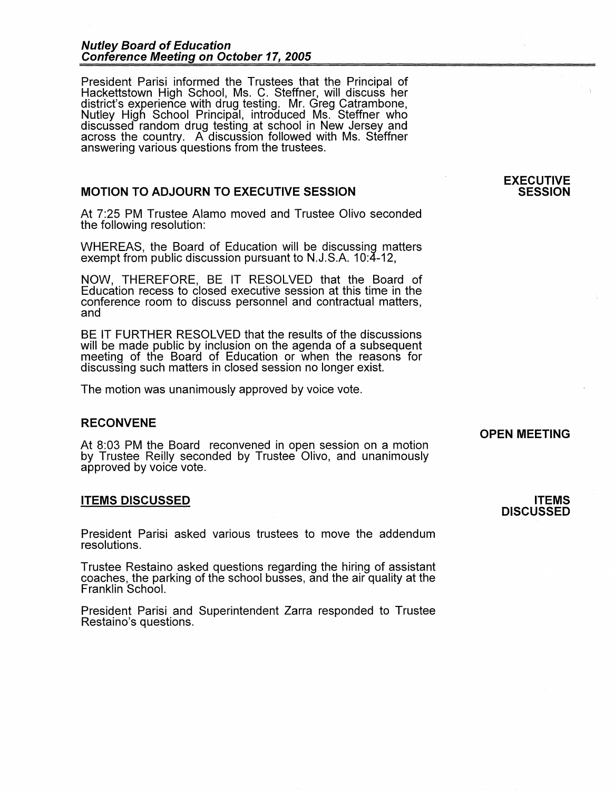## **Nutley Board of Education Conference Meeting on October 17, 2005**

President Parisi informed the Trustees that the Principal of Hackettstown High School, Ms. C. Steffner, will discuss her district's experience with drug testing. Mr. Greg Catrambone, Nutley High School Principal, introduced Ms. Steffner who discussed random drug testing at school in New Jersey and across the country. A discussion followed with Ms. Steffner answering various questions from the trustees.

## **MOTION TO ADJOURN TO EXECUTIVE SESSION**

At 7:25 PM Trustee Alamo moved and Trustee Olivo seconded the following resolution:

WHEREAS, the Board of Education will be discussing matters exempt from public discussion pursuant to N.J.S.A. 10:4-12,

**NOW,** THEREFORE, BE IT RESOLVED that the Board of Education recess to closed executive session at this time in the conference room to discuss personnel and contractual matters, and

BE IT FURTHER RESOLVED that the results of the discussions will be made public by inclusion on the agenda of a subsequent meeting of the Boara of Education or when the reasons for discussing such matters in closed session no longer exist.

The motion was unanimously approved by voice vote.

## **RECONVENE**

At 8:03 PM the Board reconvened in open session on a motion by Trustee Reilly seconded by Trustee Olivo, and unanimously approved by voice vote.

#### **ITEMS DISCUSSED**

President Parisi asked various trustees to move the addendum resolutions.

Trustee Restaino asked questions regarding the hiring of assistant coaches, the parking of the school busses, and the air quality at the Franklin School.

President Parisi and Superintendent Zarra responded to Trustee Restaino's questions.

# **OPEN MEETING**

**ITEMS DISCUSSED** 

## **EXECUTIVE SESSION**